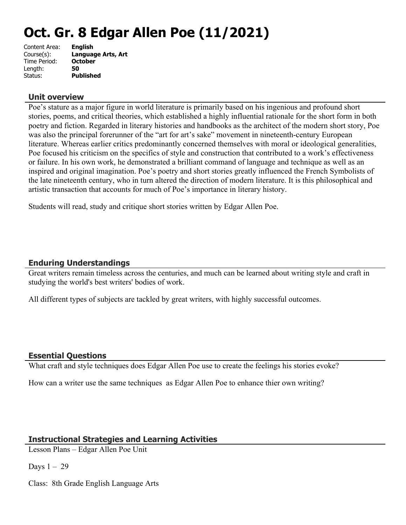# **Oct. Gr. 8 Edgar Allen Poe (11/2021)**

| Content Area: | <b>English</b>     |
|---------------|--------------------|
| Course(s):    | Language Arts, Art |
| Time Period:  | <b>October</b>     |
| Length:       | 50                 |
| Status:       | <b>Published</b>   |

# **Unit overview**

Poe's stature as a major figure in world literature is primarily based on his ingenious and profound short stories, poems, and critical theories, which established a highly influential rationale for the short form in both poetry and fiction. Regarded in literary histories and handbooks as the architect of the modern short story, Poe was also the principal forerunner of the "art for art's sake" movement in nineteenth-century European literature. Whereas earlier critics predominantly concerned themselves with moral or ideological generalities, Poe focused his criticism on the specifics of style and construction that contributed to a work's effectiveness or failure. In his own work, he demonstrated a brilliant command of language and technique as well as an inspired and original imagination. Poe's poetry and short stories greatly influenced the French Symbolists of the late nineteenth century, who in turn altered the direction of modern literature. It is this philosophical and artistic transaction that accounts for much of Poe's importance in literary history.

Students will read, study and critique short stories written by Edgar Allen Poe.

# **Enduring Understandings**

Great writers remain timeless across the centuries, and much can be learned about writing style and craft in studying the world's best writers' bodies of work.

All different types of subjects are tackled by great writers, with highly successful outcomes.

# **Essential Questions**

What craft and style techniques does Edgar Allen Poe use to create the feelings his stories evoke?

How can a writer use the same techniques as Edgar Allen Poe to enhance thier own writing?

# **Instructional Strategies and Learning Activities**

Lesson Plans – Edgar Allen Poe Unit

Days  $1 - 29$ 

Class: 8th Grade English Language Arts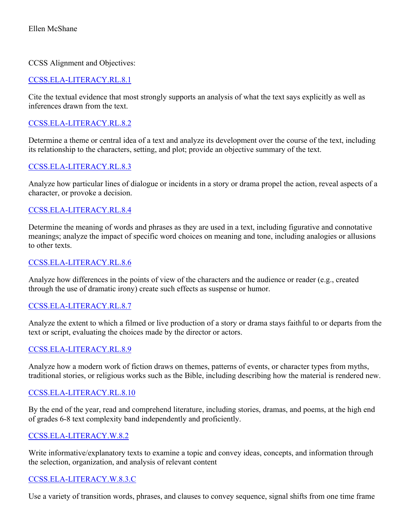#### CCSS Alignment and Objectives:

# [CCSS.ELA-LITERACY.RL.8.1](http://www.corestandards.org/ELA-Literacy/RL/8/1/)

Cite the textual evidence that most strongly supports an analysis of what the text says explicitly as well as inferences drawn from the text.

# [CCSS.ELA-LITERACY.RL.8.2](http://www.corestandards.org/ELA-Literacy/RL/8/2/)

Determine a theme or central idea of a text and analyze its development over the course of the text, including its relationship to the characters, setting, and plot; provide an objective summary of the text.

# [CCSS.ELA-LITERACY.RL.8.3](http://www.corestandards.org/ELA-Literacy/RL/8/3/)

Analyze how particular lines of dialogue or incidents in a story or drama propel the action, reveal aspects of a character, or provoke a decision.

# [CCSS.ELA-LITERACY.RL.8.4](http://www.corestandards.org/ELA-Literacy/RL/8/4/)

Determine the meaning of words and phrases as they are used in a text, including figurative and connotative meanings; analyze the impact of specific word choices on meaning and tone, including analogies or allusions to other texts.

#### [CCSS.ELA-LITERACY.RL.8.6](http://www.corestandards.org/ELA-Literacy/RL/8/6/)

Analyze how differences in the points of view of the characters and the audience or reader (e.g., created through the use of dramatic irony) create such effects as suspense or humor.

# [CCSS.ELA-LITERACY.RL.8.7](http://www.corestandards.org/ELA-Literacy/RL/8/7/)

Analyze the extent to which a filmed or live production of a story or drama stays faithful to or departs from the text or script, evaluating the choices made by the director or actors.

#### [CCSS.ELA-LITERACY.RL.8.9](http://www.corestandards.org/ELA-Literacy/RL/8/9/)

Analyze how a modern work of fiction draws on themes, patterns of events, or character types from myths, traditional stories, or religious works such as the Bible, including describing how the material is rendered new.

#### [CCSS.ELA-LITERACY.RL.8.10](http://www.corestandards.org/ELA-Literacy/RL/8/10/)

By the end of the year, read and comprehend literature, including stories, dramas, and poems, at the high end of grades 6-8 text complexity band independently and proficiently.

#### [CCSS.ELA-LITERACY.W.8.2](http://www.corestandards.org/ELA-Literacy/W/8/2/)

Write informative/explanatory texts to examine a topic and convey ideas, concepts, and information through the selection, organization, and analysis of relevant content

#### [CCSS.ELA-LITERACY.W.8.3.C](http://www.corestandards.org/ELA-Literacy/W/8/3/c/)

Use a variety of transition words, phrases, and clauses to convey sequence, signal shifts from one time frame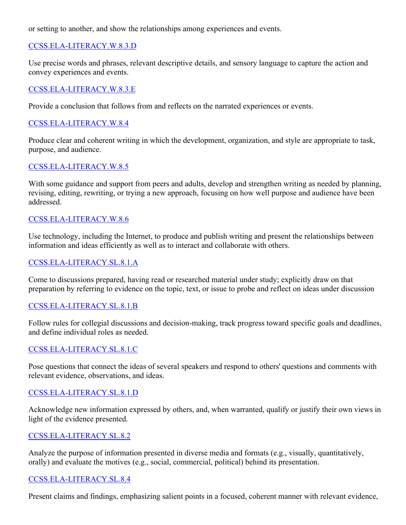or setting to another, and show the relationships among experiences and events.

# [CCSS.ELA-LITERACY.W.8.3.D](http://www.corestandards.org/ELA-Literacy/W/8/3/d/)

Use precise words and phrases, relevant descriptive details, and sensory language to capture the action and convey experiences and events.

#### [CCSS.ELA-LITERACY.W.8.3.E](http://www.corestandards.org/ELA-Literacy/W/8/3/e/)

Provide a conclusion that follows from and reflects on the narrated experiences or events.

#### [CCSS.ELA-LITERACY.W.8.4](http://www.corestandards.org/ELA-Literacy/W/8/4/)

Produce clear and coherent writing in which the development, organization, and style are appropriate to task, purpose, and audience.

#### [CCSS.ELA-LITERACY.W.8.5](http://www.corestandards.org/ELA-Literacy/W/8/5/)

With some guidance and support from peers and adults, develop and strengthen writing as needed by planning, revising, editing, rewriting, or trying a new approach, focusing on how well purpose and audience have been addressed.

#### [CCSS.ELA-LITERACY.W.8.6](http://www.corestandards.org/ELA-Literacy/W/8/6/)

Use technology, including the Internet, to produce and publish writing and present the relationships between information and ideas efficiently as well as to interact and collaborate with others.

#### [CCSS.ELA-LITERACY.SL.8.1.A](http://www.corestandards.org/ELA-Literacy/SL/8/1/a/)

Come to discussions prepared, having read or researched material under study; explicitly draw on that preparation by referring to evidence on the topic, text, or issue to probe and reflect on ideas under discussion

#### [CCSS.ELA-LITERACY.SL.8.1.B](http://www.corestandards.org/ELA-Literacy/SL/8/1/b/)

Follow rules for collegial discussions and decision-making, track progress toward specific goals and deadlines, and define individual roles as needed.

#### [CCSS.ELA-LITERACY.SL.8.1.C](http://www.corestandards.org/ELA-Literacy/SL/8/1/c/)

Pose questions that connect the ideas of several speakers and respond to others' questions and comments with relevant evidence, observations, and ideas.

#### [CCSS.ELA-LITERACY.SL.8.1.D](http://www.corestandards.org/ELA-Literacy/SL/8/1/d/)

Acknowledge new information expressed by others, and, when warranted, qualify or justify their own views in light of the evidence presented.

#### [CCSS.ELA-LITERACY.SL.8.2](http://www.corestandards.org/ELA-Literacy/SL/8/2/)

Analyze the purpose of information presented in diverse media and formats (e.g., visually, quantitatively, orally) and evaluate the motives (e.g., social, commercial, political) behind its presentation.

#### [CCSS.ELA-LITERACY.SL.8.4](http://www.corestandards.org/ELA-Literacy/SL/8/4/)

Present claims and findings, emphasizing salient points in a focused, coherent manner with relevant evidence,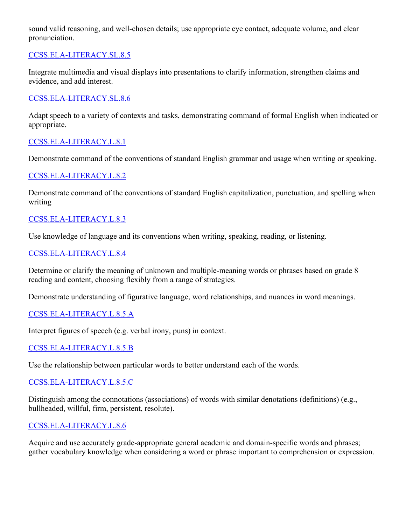sound valid reasoning, and well-chosen details; use appropriate eye contact, adequate volume, and clear pronunciation.

# [CCSS.ELA-LITERACY.SL.8.5](http://www.corestandards.org/ELA-Literacy/SL/8/5/)

Integrate multimedia and visual displays into presentations to clarify information, strengthen claims and evidence, and add interest.

# [CCSS.ELA-LITERACY.SL.8.6](http://www.corestandards.org/ELA-Literacy/SL/8/6/)

Adapt speech to a variety of contexts and tasks, demonstrating command of formal English when indicated or appropriate.

# [CCSS.ELA-LITERACY.L.8.1](http://www.corestandards.org/ELA-Literacy/L/8/1/)

Demonstrate command of the conventions of standard English grammar and usage when writing or speaking.

# [CCSS.ELA-LITERACY.L.8.2](http://www.corestandards.org/ELA-Literacy/L/8/2/)

Demonstrate command of the conventions of standard English capitalization, punctuation, and spelling when writing

# [CCSS.ELA-LITERACY.L.8.3](http://www.corestandards.org/ELA-Literacy/L/8/3/)

Use knowledge of language and its conventions when writing, speaking, reading, or listening.

# [CCSS.ELA-LITERACY.L.8.4](http://www.corestandards.org/ELA-Literacy/L/8/4/)

Determine or clarify the meaning of unknown and multiple-meaning words or phrases based on grade 8 reading and content, choosing flexibly from a range of strategies.

Demonstrate understanding of figurative language, word relationships, and nuances in word meanings.

# [CCSS.ELA-LITERACY.L.8.5.A](http://www.corestandards.org/ELA-Literacy/L/8/5/a/)

Interpret figures of speech (e.g. verbal irony, puns) in context.

# [CCSS.ELA-LITERACY.L.8.5.B](http://www.corestandards.org/ELA-Literacy/L/8/5/b/)

Use the relationship between particular words to better understand each of the words.

# [CCSS.ELA-LITERACY.L.8.5.C](http://www.corestandards.org/ELA-Literacy/L/8/5/c/)

Distinguish among the connotations (associations) of words with similar denotations (definitions) (e.g., bullheaded, willful, firm, persistent, resolute).

# [CCSS.ELA-LITERACY.L.8.6](http://www.corestandards.org/ELA-Literacy/L/8/6/)

Acquire and use accurately grade-appropriate general academic and domain-specific words and phrases; gather vocabulary knowledge when considering a word or phrase important to comprehension or expression.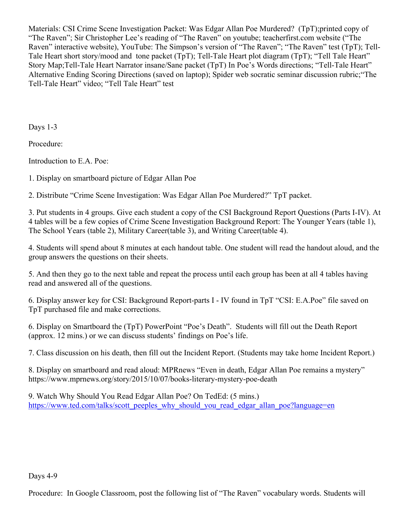Materials: CSI Crime Scene Investigation Packet: Was Edgar Allan Poe Murdered? (TpT);printed copy of "The Raven"; Sir Christopher Lee's reading of "The Raven" on youtube; teacherfirst.com website ("The Raven" interactive website), YouTube: The Simpson's version of "The Raven"; "The Raven" test (TpT); Tell-Tale Heart short story/mood and tone packet (TpT); Tell-Tale Heart plot diagram (TpT); "Tell Tale Heart" Story Map;Tell-Tale Heart Narrator insane/Sane packet (TpT) In Poe's Words directions; "Tell-Tale Heart" Alternative Ending Scoring Directions (saved on laptop); Spider web socratic seminar discussion rubric;"The Tell-Tale Heart" video; "Tell Tale Heart" test

Days 1-3

Procedure:

Introduction to E.A. Poe:

1. Display on smartboard picture of Edgar Allan Poe

2. Distribute "Crime Scene Investigation: Was Edgar Allan Poe Murdered?" TpT packet.

3. Put students in 4 groups. Give each student a copy of the CSI Background Report Questions (Parts I-IV). At 4 tables will be a few copies of Crime Scene Investigation Background Report: The Younger Years (table 1), The School Years (table 2), Military Career(table 3), and Writing Career(table 4).

4. Students will spend about 8 minutes at each handout table. One student will read the handout aloud, and the group answers the questions on their sheets.

5. And then they go to the next table and repeat the process until each group has been at all 4 tables having read and answered all of the questions.

6. Display answer key for CSI: Background Report-parts I - IV found in TpT "CSI: E.A.Poe" file saved on TpT purchased file and make corrections.

6. Display on Smartboard the (TpT) PowerPoint "Poe's Death". Students will fill out the Death Report (approx. 12 mins.) or we can discuss students' findings on Poe's life.

7. Class discussion on his death, then fill out the Incident Report. (Students may take home Incident Report.)

8. Display on smartboard and read aloud: MPRnews "Even in death, Edgar Allan Poe remains a mystery" https://www.mprnews.org/story/2015/10/07/books-literary-mystery-poe-death

9. Watch Why Should You Read Edgar Allan Poe? On TedEd: (5 mins.) [https://www.ted.com/talks/scott\\_peeples\\_why\\_should\\_you\\_read\\_edgar\\_allan\\_poe?language=en](https://www.ted.com/talks/scott_peeples_why_should_you_read_edgar_allan_poe?language=en)

Days 4-9

Procedure: In Google Classroom, post the following list of "The Raven" vocabulary words. Students will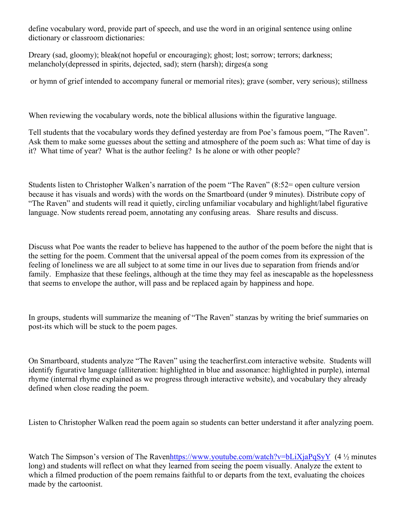define vocabulary word, provide part of speech, and use the word in an original sentence using online dictionary or classroom dictionaries:

Dreary (sad, gloomy); bleak(not hopeful or encouraging); ghost; lost; sorrow; terrors; darkness; melancholy(depressed in spirits, dejected, sad); stern (harsh); dirges(a song

or hymn of grief intended to accompany funeral or memorial rites); grave (somber, very serious); stillness

When reviewing the vocabulary words, note the biblical allusions within the figurative language.

Tell students that the vocabulary words they defined yesterday are from Poe's famous poem, "The Raven". Ask them to make some guesses about the setting and atmosphere of the poem such as: What time of day is it? What time of year? What is the author feeling? Is he alone or with other people?

Students listen to Christopher Walken's narration of the poem "The Raven" (8:52= open culture version because it has visuals and words) with the words on the Smartboard (under 9 minutes). Distribute copy of "The Raven" and students will read it quietly, circling unfamiliar vocabulary and highlight/label figurative language. Now students reread poem, annotating any confusing areas. Share results and discuss.

Discuss what Poe wants the reader to believe has happened to the author of the poem before the night that is the setting for the poem. Comment that the universal appeal of the poem comes from its expression of the feeling of loneliness we are all subject to at some time in our lives due to separation from friends and/or family. Emphasize that these feelings, although at the time they may feel as inescapable as the hopelessness that seems to envelope the author, will pass and be replaced again by happiness and hope.

In groups, students will summarize the meaning of "The Raven" stanzas by writing the brief summaries on post-its which will be stuck to the poem pages.

On Smartboard, students analyze "The Raven" using the teacherfirst.com interactive website. Students will identify figurative language (alliteration: highlighted in blue and assonance: highlighted in purple), internal rhyme (internal rhyme explained as we progress through interactive website), and vocabulary they already defined when close reading the poem.

Listen to Christopher Walken read the poem again so students can better understand it after analyzing poem.

Watch The Simpson's version of The Rave[nhttps://www.youtube.com/watch?v=bLiXjaPqSyY](https://www.youtube.com/watch?v=bLiXjaPqSyY)  $(4 \frac{1}{2})$  minutes long) and students will reflect on what they learned from seeing the poem visually. Analyze the extent to which a filmed production of the poem remains faithful to or departs from the text, evaluating the choices made by the cartoonist.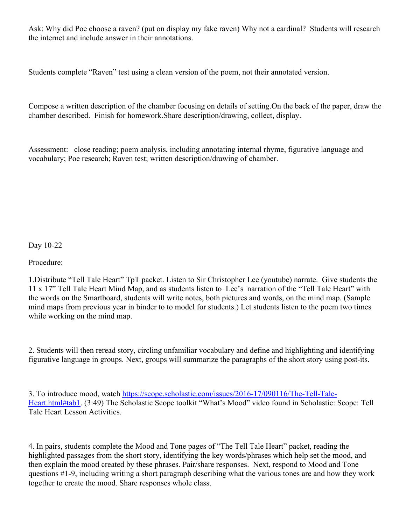Ask: Why did Poe choose a raven? (put on display my fake raven) Why not a cardinal? Students will research the internet and include answer in their annotations.

Students complete "Raven" test using a clean version of the poem, not their annotated version.

Compose a written description of the chamber focusing on details of setting.On the back of the paper, draw the chamber described. Finish for homework.Share description/drawing, collect, display.

Assessment: close reading; poem analysis, including annotating internal rhyme, figurative language and vocabulary; Poe research; Raven test; written description/drawing of chamber.

Day 10-22

Procedure:

1.Distribute "Tell Tale Heart" TpT packet. Listen to Sir Christopher Lee (youtube) narrate. Give students the 11 x 17" Tell Tale Heart Mind Map, and as students listen to Lee's narration of the "Tell Tale Heart" with the words on the Smartboard, students will write notes, both pictures and words, on the mind map. (Sample mind maps from previous year in binder to to model for students.) Let students listen to the poem two times while working on the mind map.

2. Students will then reread story, circling unfamiliar vocabulary and define and highlighting and identifying figurative language in groups. Next, groups will summarize the paragraphs of the short story using post-its.

3. To introduce mood, watch [https://scope.scholastic.com/issues/2016-17/090116/The-Tell-Tale-](https://scope.scholastic.com/issues/2016-17/090116/The-Tell-Tale-Heart.html#tab1)[Heart.html#tab1](https://scope.scholastic.com/issues/2016-17/090116/The-Tell-Tale-Heart.html#tab1). (3:49) The Scholastic Scope toolkit "What's Mood" video found in Scholastic: Scope: Tell Tale Heart Lesson Activities.

4. In pairs, students complete the Mood and Tone pages of "The Tell Tale Heart" packet, reading the highlighted passages from the short story, identifying the key words/phrases which help set the mood, and then explain the mood created by these phrases. Pair/share responses. Next, respond to Mood and Tone questions #1-9, including writing a short paragraph describing what the various tones are and how they work together to create the mood. Share responses whole class.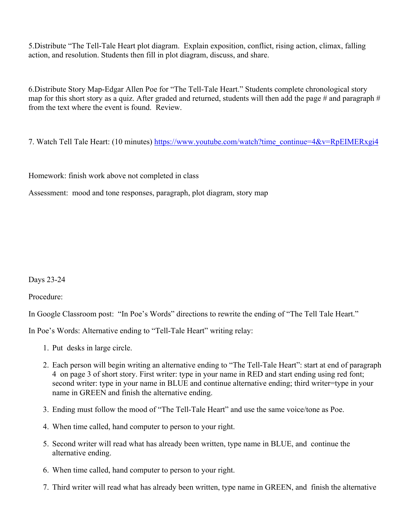5.Distribute "The Tell-Tale Heart plot diagram. Explain exposition, conflict, rising action, climax, falling action, and resolution. Students then fill in plot diagram, discuss, and share.

6.Distribute Story Map-Edgar Allen Poe for "The Tell-Tale Heart." Students complete chronological story map for this short story as a quiz. After graded and returned, students will then add the page # and paragraph  $#$ from the text where the event is found. Review.

7. Watch Tell Tale Heart: (10 minutes) [https://www.youtube.com/watch?time\\_continue=4&v=RpEIMERxgi4](https://www.youtube.com/watch?time_continue=4&v=RpEIMERxgi4)

Homework: finish work above not completed in class

Assessment: mood and tone responses, paragraph, plot diagram, story map

Days 23-24

Procedure:

In Google Classroom post: "In Poe's Words" directions to rewrite the ending of "The Tell Tale Heart."

In Poe's Words: Alternative ending to "Tell-Tale Heart" writing relay:

- 1. Put desks in large circle.
- 2. Each person will begin writing an alternative ending to "The Tell-Tale Heart": start at end of paragraph 4 on page 3 of short story. First writer: type in your name in RED and start ending using red font; second writer: type in your name in BLUE and continue alternative ending; third writer=type in your name in GREEN and finish the alternative ending.
- 3. Ending must follow the mood of "The Tell-Tale Heart" and use the same voice/tone as Poe.
- 4. When time called, hand computer to person to your right.
- 5. Second writer will read what has already been written, type name in BLUE, and continue the alternative ending.
- 6. When time called, hand computer to person to your right.
- 7. Third writer will read what has already been written, type name in GREEN, and finish the alternative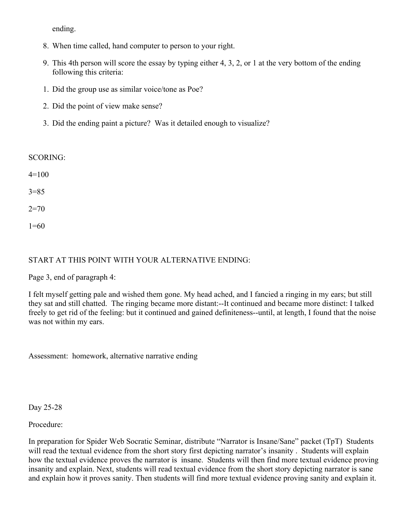ending.

- 8. When time called, hand computer to person to your right.
- 9. This 4th person will score the essay by typing either 4, 3, 2, or 1 at the very bottom of the ending following this criteria:
- 1. Did the group use as similar voice/tone as Poe?
- 2. Did the point of view make sense?
- 3. Did the ending paint a picture? Was it detailed enough to visualize?

# SCORING:

| $4=100$  |  |
|----------|--|
| $3 = 85$ |  |
| $2=70$   |  |

1=60

# START AT THIS POINT WITH YOUR ALTERNATIVE ENDING:

Page 3, end of paragraph 4:

I felt myself getting pale and wished them gone. My head ached, and I fancied a ringing in my ears; but still they sat and still chatted. The ringing became more distant:--It continued and became more distinct: I talked freely to get rid of the feeling: but it continued and gained definiteness--until, at length, I found that the noise was not within my ears.

Assessment: homework, alternative narrative ending

Day 25-28

Procedure:

In preparation for Spider Web Socratic Seminar, distribute "Narrator is Insane/Sane" packet (TpT) Students will read the textual evidence from the short story first depicting narrator's insanity. Students will explain how the textual evidence proves the narrator is insane. Students will then find more textual evidence proving insanity and explain. Next, students will read textual evidence from the short story depicting narrator is sane and explain how it proves sanity. Then students will find more textual evidence proving sanity and explain it.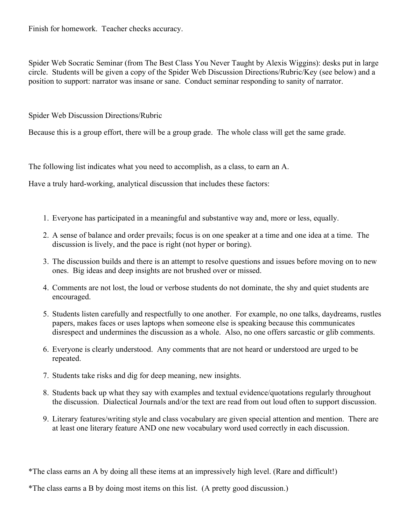Finish for homework. Teacher checks accuracy.

Spider Web Socratic Seminar (from The Best Class You Never Taught by Alexis Wiggins): desks put in large circle. Students will be given a copy of the Spider Web Discussion Directions/Rubric/Key (see below) and a position to support: narrator was insane or sane. Conduct seminar responding to sanity of narrator.

Spider Web Discussion Directions/Rubric

Because this is a group effort, there will be a group grade. The whole class will get the same grade.

The following list indicates what you need to accomplish, as a class, to earn an A.

Have a truly hard-working, analytical discussion that includes these factors:

- 1. Everyone has participated in a meaningful and substantive way and, more or less, equally.
- 2. A sense of balance and order prevails; focus is on one speaker at a time and one idea at a time. The discussion is lively, and the pace is right (not hyper or boring).
- 3. The discussion builds and there is an attempt to resolve questions and issues before moving on to new ones. Big ideas and deep insights are not brushed over or missed.
- 4. Comments are not lost, the loud or verbose students do not dominate, the shy and quiet students are encouraged.
- 5. Students listen carefully and respectfully to one another. For example, no one talks, daydreams, rustles papers, makes faces or uses laptops when someone else is speaking because this communicates disrespect and undermines the discussion as a whole. Also, no one offers sarcastic or glib comments.
- 6. Everyone is clearly understood. Any comments that are not heard or understood are urged to be repeated.
- 7. Students take risks and dig for deep meaning, new insights.
- 8. Students back up what they say with examples and textual evidence/quotations regularly throughout the discussion. Dialectical Journals and/or the text are read from out loud often to support discussion.
- 9. Literary features/writing style and class vocabulary are given special attention and mention. There are at least one literary feature AND one new vocabulary word used correctly in each discussion.

\*The class earns an A by doing all these items at an impressively high level. (Rare and difficult!)

<sup>\*</sup>The class earns a B by doing most items on this list. (A pretty good discussion.)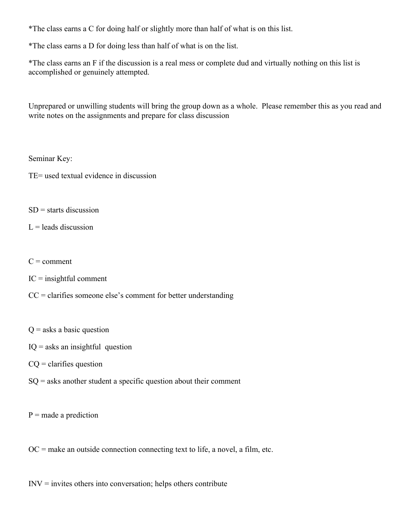\*The class earns a C for doing half or slightly more than half of what is on this list.

\*The class earns a D for doing less than half of what is on the list.

\*The class earns an F if the discussion is a real mess or complete dud and virtually nothing on this list is accomplished or genuinely attempted.

Unprepared or unwilling students will bring the group down as a whole. Please remember this as you read and write notes on the assignments and prepare for class discussion

Seminar Key:

TE= used textual evidence in discussion

 $SD$  = starts discussion

 $L =$  leads discussion

- $C =$  comment
- $IC = insightful$  comment

 $CC =$  clarifies someone else's comment for better understanding

 $Q$  = asks a basic question

 $IO =$  asks an insightful question

 $CQ =$  clarifies question

 $SQ =$  asks another student a specific question about their comment

 $P$  = made a prediction

 $OC =$  make an outside connection connecting text to life, a novel, a film, etc.

 $INV =$  invites others into conversation; helps others contribute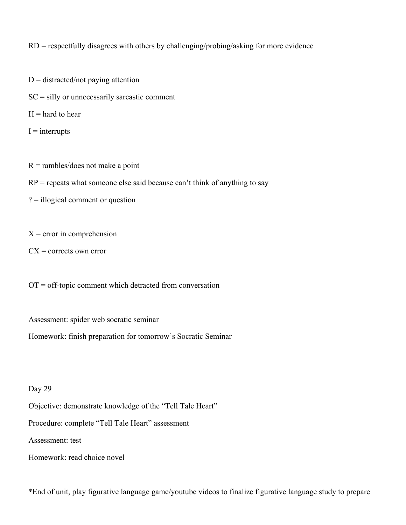RD = respectfully disagrees with others by challenging/probing/asking for more evidence

 $D =$  distracted/not paying attention

 $SC =$  silly or unnecessarily sarcastic comment

 $H =$  hard to hear

 $I =$ interrupts

 $R =$ rambles/does not make a point

 $RP$  = repeats what someone else said because can't think of anything to say

? = illogical comment or question

 $X =$  error in comprehension

 $CX =$  corrects own error

 $OT = off$ -topic comment which detracted from conversation

Assessment: spider web socratic seminar

Homework: finish preparation for tomorrow's Socratic Seminar

Day 29

Objective: demonstrate knowledge of the "Tell Tale Heart"

Procedure: complete "Tell Tale Heart" assessment

Assessment: test

Homework: read choice novel

\*End of unit, play figurative language game/youtube videos to finalize figurative language study to prepare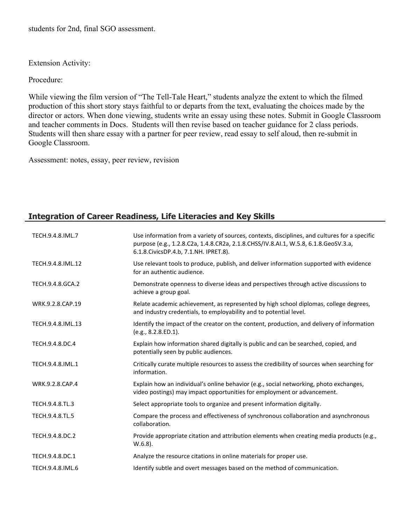students for 2nd, final SGO assessment.

Extension Activity:

Procedure:

While viewing the film version of "The Tell-Tale Heart," students analyze the extent to which the filmed production of this short story stays faithful to or departs from the text, evaluating the choices made by the director or actors. When done viewing, students write an essay using these notes. Submit in Google Classroom and teacher comments in Docs. Students will then revise based on teacher guidance for 2 class periods. Students will then share essay with a partner for peer review, read essay to self aloud, then re-submit in Google Classroom.

Assessment: notes, essay, peer review, revision

# **Integration of Career Readiness, Life Literacies and Key Skills**

| TECH.9.4.8.IML.7  | Use information from a variety of sources, contexts, disciplines, and cultures for a specific<br>purpose (e.g., 1.2.8.C2a, 1.4.8.CR2a, 2.1.8.CHSS/IV.8.AI.1, W.5.8, 6.1.8.GeoSV.3.a,<br>6.1.8. Civics DP.4.b, 7.1. NH. IPRET.8). |
|-------------------|----------------------------------------------------------------------------------------------------------------------------------------------------------------------------------------------------------------------------------|
| TECH.9.4.8.IML.12 | Use relevant tools to produce, publish, and deliver information supported with evidence<br>for an authentic audience.                                                                                                            |
| TECH.9.4.8.GCA.2  | Demonstrate openness to diverse ideas and perspectives through active discussions to<br>achieve a group goal.                                                                                                                    |
| WRK.9.2.8.CAP.19  | Relate academic achievement, as represented by high school diplomas, college degrees,<br>and industry credentials, to employability and to potential level.                                                                      |
| TECH.9.4.8.IML.13 | Identify the impact of the creator on the content, production, and delivery of information<br>(e.g., 8.2.8.ED.1).                                                                                                                |
| TECH.9.4.8.DC.4   | Explain how information shared digitally is public and can be searched, copied, and<br>potentially seen by public audiences.                                                                                                     |
| TECH.9.4.8.IML.1  | Critically curate multiple resources to assess the credibility of sources when searching for<br>information.                                                                                                                     |
| WRK.9.2.8.CAP.4   | Explain how an individual's online behavior (e.g., social networking, photo exchanges,<br>video postings) may impact opportunities for employment or advancement.                                                                |
| TECH.9.4.8.TL.3   | Select appropriate tools to organize and present information digitally.                                                                                                                                                          |
| TECH.9.4.8.TL.5   | Compare the process and effectiveness of synchronous collaboration and asynchronous<br>collaboration.                                                                                                                            |
| TECH.9.4.8.DC.2   | Provide appropriate citation and attribution elements when creating media products (e.g.,<br>$W.6.8$ ).                                                                                                                          |
| TECH.9.4.8.DC.1   | Analyze the resource citations in online materials for proper use.                                                                                                                                                               |
| TECH.9.4.8.IML.6  | Identify subtle and overt messages based on the method of communication.                                                                                                                                                         |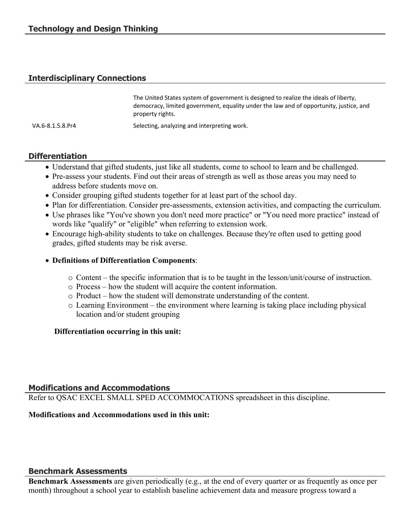# **Interdisciplinary Connections**

|                  | The United States system of government is designed to realize the ideals of liberty,   |
|------------------|----------------------------------------------------------------------------------------|
|                  | democracy, limited government, equality under the law and of opportunity, justice, and |
|                  | property rights.                                                                       |
| VA.6-8.1.5.8.Pr4 | Selecting, analyzing and interpreting work.                                            |

# **Differentiation**

- Understand that gifted students, just like all students, come to school to learn and be challenged.
- Pre-assess your students. Find out their areas of strength as well as those areas you may need to address before students move on.
- Consider grouping gifted students together for at least part of the school day.
- Plan for differentiation. Consider pre-assessments, extension activities, and compacting the curriculum.
- Use phrases like "You've shown you don't need more practice" or "You need more practice" instead of words like "qualify" or "eligible" when referring to extension work.
- Encourage high-ability students to take on challenges. Because they're often used to getting good grades, gifted students may be risk averse.

#### **Definitions of Differentiation Components**:

- o Content the specific information that is to be taught in the lesson/unit/course of instruction.
- o Process how the student will acquire the content information.
- o Product how the student will demonstrate understanding of the content.
- o Learning Environment the environment where learning is taking place including physical location and/or student grouping

# **Differentiation occurring in this unit:**

# **Modifications and Accommodations**

Refer to QSAC EXCEL SMALL SPED ACCOMMOCATIONS spreadsheet in this discipline.

#### **Modifications and Accommodations used in this unit:**

#### **Benchmark Assessments**

**Benchmark Assessments** are given periodically (e.g., at the end of every quarter or as frequently as once per month) throughout a school year to establish baseline achievement data and measure progress toward a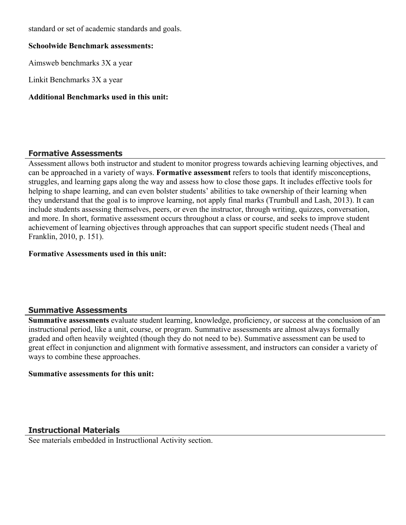standard or set of academic standards and goals.

#### **Schoolwide Benchmark assessments:**

Aimsweb benchmarks 3X a year

Linkit Benchmarks 3X a year

# **Additional Benchmarks used in this unit:**

# **Formative Assessments**

Assessment allows both instructor and student to monitor progress towards achieving learning objectives, and can be approached in a variety of ways. **Formative assessment** refers to tools that identify misconceptions, struggles, and learning gaps along the way and assess how to close those gaps. It includes effective tools for helping to shape learning, and can even bolster students' abilities to take ownership of their learning when they understand that the goal is to improve learning, not apply final marks (Trumbull and Lash, 2013). It can include students assessing themselves, peers, or even the instructor, through writing, quizzes, conversation, and more. In short, formative assessment occurs throughout a class or course, and seeks to improve student achievement of learning objectives through approaches that can support specific student needs (Theal and Franklin, 2010, p. 151).

# **Formative Assessments used in this unit:**

# **Summative Assessments**

**Summative assessments** evaluate student learning, knowledge, proficiency, or success at the conclusion of an instructional period, like a unit, course, or program. Summative assessments are almost always formally graded and often heavily weighted (though they do not need to be). Summative assessment can be used to great effect in conjunction and alignment with formative assessment, and instructors can consider a variety of ways to combine these approaches.

#### **Summative assessments for this unit:**

# **Instructional Materials**

See materials embedded in Instructlional Activity section.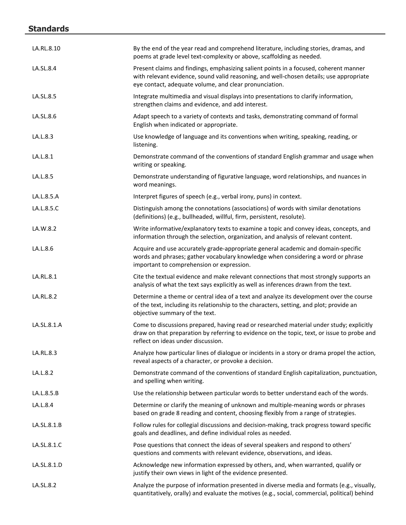# **Standards**

| LA.RL.8.10  | By the end of the year read and comprehend literature, including stories, dramas, and<br>poems at grade level text-complexity or above, scaffolding as needed.                                                                             |
|-------------|--------------------------------------------------------------------------------------------------------------------------------------------------------------------------------------------------------------------------------------------|
| LA.SL.8.4   | Present claims and findings, emphasizing salient points in a focused, coherent manner<br>with relevant evidence, sound valid reasoning, and well-chosen details; use appropriate<br>eye contact, adequate volume, and clear pronunciation. |
| LA.SL.8.5   | Integrate multimedia and visual displays into presentations to clarify information,<br>strengthen claims and evidence, and add interest.                                                                                                   |
| LA.SL.8.6   | Adapt speech to a variety of contexts and tasks, demonstrating command of formal<br>English when indicated or appropriate.                                                                                                                 |
| LA.L.8.3    | Use knowledge of language and its conventions when writing, speaking, reading, or<br>listening.                                                                                                                                            |
| LA.L.8.1    | Demonstrate command of the conventions of standard English grammar and usage when<br>writing or speaking.                                                                                                                                  |
| LA.L.8.5    | Demonstrate understanding of figurative language, word relationships, and nuances in<br>word meanings.                                                                                                                                     |
| LA.L.8.5.A  | Interpret figures of speech (e.g., verbal irony, puns) in context.                                                                                                                                                                         |
| LA.L.8.5.C  | Distinguish among the connotations (associations) of words with similar denotations<br>(definitions) (e.g., bullheaded, willful, firm, persistent, resolute).                                                                              |
| LA.W.8.2    | Write informative/explanatory texts to examine a topic and convey ideas, concepts, and<br>information through the selection, organization, and analysis of relevant content.                                                               |
| LA.L.8.6    | Acquire and use accurately grade-appropriate general academic and domain-specific<br>words and phrases; gather vocabulary knowledge when considering a word or phrase<br>important to comprehension or expression.                         |
| LA.RL.8.1   | Cite the textual evidence and make relevant connections that most strongly supports an<br>analysis of what the text says explicitly as well as inferences drawn from the text.                                                             |
| LA.RL.8.2   | Determine a theme or central idea of a text and analyze its development over the course<br>of the text, including its relationship to the characters, setting, and plot; provide an<br>objective summary of the text.                      |
| LA.SL.8.1.A | Come to discussions prepared, having read or researched material under study; explicitly<br>draw on that preparation by referring to evidence on the topic, text, or issue to probe and<br>reflect on ideas under discussion.              |
| LA.RL.8.3   | Analyze how particular lines of dialogue or incidents in a story or drama propel the action,<br>reveal aspects of a character, or provoke a decision.                                                                                      |
| LA.L.8.2    | Demonstrate command of the conventions of standard English capitalization, punctuation,<br>and spelling when writing.                                                                                                                      |
| LA.L.8.5.B  | Use the relationship between particular words to better understand each of the words.                                                                                                                                                      |
| LA.L.8.4    | Determine or clarify the meaning of unknown and multiple-meaning words or phrases<br>based on grade 8 reading and content, choosing flexibly from a range of strategies.                                                                   |
| LA.SL.8.1.B | Follow rules for collegial discussions and decision-making, track progress toward specific<br>goals and deadlines, and define individual roles as needed.                                                                                  |
| LA.SL.8.1.C | Pose questions that connect the ideas of several speakers and respond to others'<br>questions and comments with relevant evidence, observations, and ideas.                                                                                |
| LA.SL.8.1.D | Acknowledge new information expressed by others, and, when warranted, qualify or<br>justify their own views in light of the evidence presented.                                                                                            |
| LA.SL.8.2   | Analyze the purpose of information presented in diverse media and formats (e.g., visually,<br>quantitatively, orally) and evaluate the motives (e.g., social, commercial, political) behind                                                |